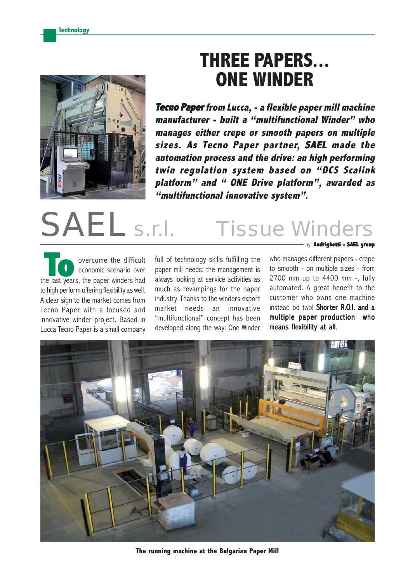

## **THREE PAPERS... ONE WINDER**

**Tecno Paper from Lucca, - a flexible paper mill machine manufacturer - built a "multifunctional Winder" who manages either crepe or smooth papers on multiple sizes. As Tecno Paper partner, SAEL** automation process and the drive: an high performing **twin regulation system based on "DCS Scalink platform" and " ONE Drive platform", awarded as "multifunctional innovative system".**

# SAEL s.r.l. Tissue Winders

overcome the difficult economic scenario over **To** overcome the difficult<br>
economic scenario over<br>
the last years, the paper winders had to high perform offering flexibility as well. A clear sign to the market comes from Tecno Paper with a focused and innovative winder project. Based in Lucca Tecno Paper is a small company

full of technology skills fulfilling the paper mill needs: the management is always looking at service activities as much as revampings for the paper industry. Thanks to the winders export market needs an innovative "multifunctional" concept has been developed along the way: One Winder by: **Andrighetti - SAEL group**

who manages different papers - crepe to smooth - on multiple sizes - from 2700 mm up to 4400 mm -, fully automated. A great benefit to the customer who owns one machine instead od two! Shorter R.O.I. and a multiple paper production who means flexibility at all.



**The running machine at the Bulgarian Paper Mill**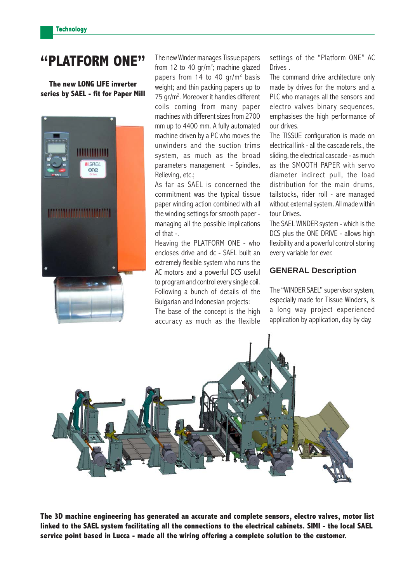### **"PLATFORM ONE"**

**The new LONG LIFE inverter series by SAEL - fit for Paper Mill**



The new Winder manages Tissue papers from 12 to 40 gr/m<sup>2</sup>; machine glazed papers from 14 to 40 gr/m<sup>2</sup> basis weight; and thin packing papers up to 75 gr/m<sup>2</sup>. Moreover it handles different coils coming from many paper machines with different sizes from 2700 mm up to 4400 mm. A fully automated machine driven by a PC who moves the unwinders and the suction trims system, as much as the broad parameters management - Spindles, Relieving, etc.;

As far as SAEL is concerned the commitment was the typical tissue paper winding action combined with all the winding settings for smooth paper managing all the possible implications of that -.

Heaving the PLATFORM ONE - who encloses drive and dc - SAEL built an extremely flexible system who runs the AC motors and a powerful DCS useful to program and control every single coil. Following a bunch of details of the Bulgarian and Indonesian projects: The base of the concept is the high accuracy as much as the flexible settings of the "Platform ONE" AC Drives .

The command drive architecture only made by drives for the motors and a PLC who manages all the sensors and electro valves binary sequences, emphasises the high performance of our drives.

The TISSUE configuration is made on electrical link - all the cascade refs., the sliding, the electrical cascade - as much as the SMOOTH PAPER with servo diameter indirect pull, the load distribution for the main drums, tailstocks, rider roll - are managed without external system. All made within tour Drives.

The SAEL WINDER system - which is the DCS plus the ONE DRIVE - allows high flexibility and a powerful control storing every variable for ever.

#### **GENERAL Description**

The "WINDER SAEL" supervisor system, especially made for Tissue Winders, is a long way project experienced application by application, day by day.



**The 3D machine engineering has generated an accurate and complete sensors, electro valves, motor list linked to the SAEL system facilitating all the connections to the electrical cabinets. SIMI - the local SAEL service point based in Lucca - made all the wiring offering a complete solution to the customer.**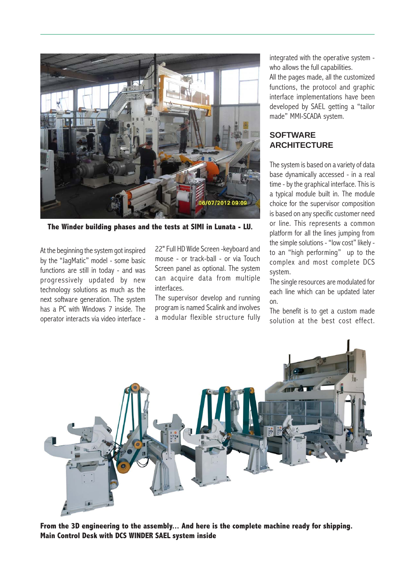

**The Winder building phases and the tests at SIMI in Lunata - LU.**

At the beginning the system got inspired by the "JagMatic" model - some basic functions are still in today - and was progressively updated by new technology solutions as much as the next software generation. The system has a PC with Windows 7 inside. The operator interacts via video interface - 22" Full HD Wide Screen -keyboard and mouse - or track-ball - or via Touch Screen panel as optional. The system can acquire data from multiple interfaces.

The supervisor develop and running program is named Scalink and involves a modular flexible structure fully integrated with the operative system who allows the full capabilities.

All the pages made, all the customized functions, the protocol and graphic interface implementations have been developed by SAEL getting a "tailor made" MMI-SCADA system.

#### **SOFTWARE ARCHITECTURE**

The system is based on a variety of data base dynamically accessed - in a real time - by the graphical interface. This is a typical module built in. The module choice for the supervisor composition is based on any specific customer need or line. This represents a common platform for all the lines jumping from the simple solutions - "low cost" likely to an "high performing" up to the complex and most complete DCS system.

The single resources are modulated for each line which can be updated later on.

The benefit is to get a custom made solution at the best cost effect.



**From the 3D engineering to the assembly... And here is the complete machine ready for shipping. Main Control Desk with DCS WINDER SAEL system inside**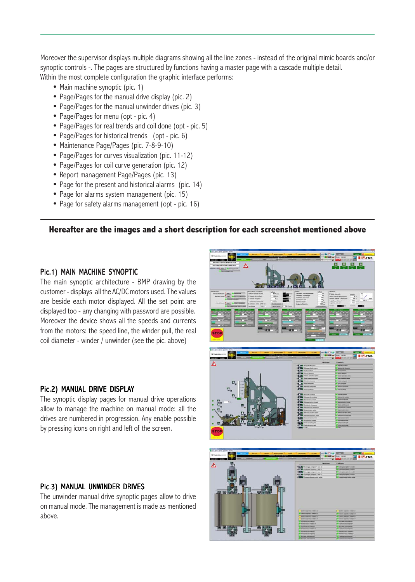Moreover the supervisor displays multiple diagrams showing all the line zones - instead of the original mimic boards and/or synoptic controls -. The pages are structured by functions having a master page with a cascade multiple detail. Within the most complete configuration the graphic interface performs:

- Main machine synoptic (pic. 1)
- Page/Pages for the manual drive display (pic. 2)
- Page/Pages for the manual unwinder drives (pic. 3)
- Page/Pages for menu (opt pic. 4)
- Page/Pages for real trends and coil done (opt pic. 5)
- Page/Pages for historical trends (opt pic. 6)
- Maintenance Page/Pages (pic. 7-8-9-10)
- Page/Pages for curves visualization (pic. 11-12)
- Page/Pages for coil curve generation (pic. 12)
- Report management Page/Pages (pic. 13)
- Page for the present and historical alarms (pic. 14)
- Page for alarms system management (pic. 15)
- Page for safety alarms management (opt pic. 16)

#### **Hereafter are the images and a short description for each screenshot mentioned above**

#### Pic.1) MAIN MACHINE SYNOPTIC

The main synoptic architecture - BMP drawing by the customer - displays all the AC/DC motors used. The values are beside each motor displayed. All the set point are displayed too - any changing with password are possible. Moreover the device shows all the speeds and currents from the motors: the speed line, the winder pull, the real coil diameter - winder / unwinder (see the pic. above)

#### Pic.2) MANUAL DRIVE DISPLAY

The synoptic display pages for manual drive operations allow to manage the machine on manual mode: all the drives are numbered in progression. Any enable possible by pressing icons on right and left of the screen.

#### Pic.3) MANUAL UNWINDER DRIVES

The unwinder manual drive synoptic pages allow to drive on manual mode. The management is made as mentioned above.

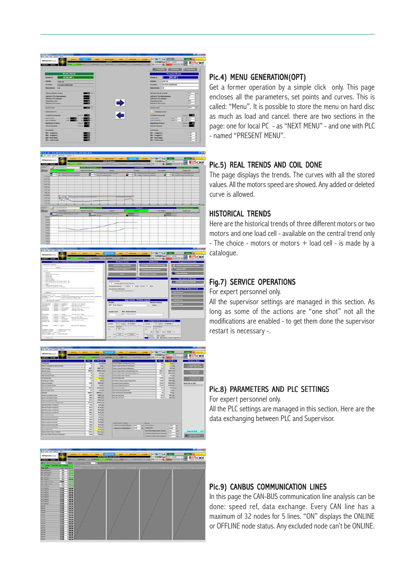



| Constants: C18CALA003V13005340CFG. CONET ML                                                                                                                                                                                                                                                                                                                                                                                                                                       | <b>Gestione Trend</b>                                                                                | Abilitationi                                                                     | Programmi di servizio                                      |
|-----------------------------------------------------------------------------------------------------------------------------------------------------------------------------------------------------------------------------------------------------------------------------------------------------------------------------------------------------------------------------------------------------------------------------------------------------------------------------------|------------------------------------------------------------------------------------------------------|----------------------------------------------------------------------------------|------------------------------------------------------------|
| <b>CONSIGNERS EXCHANGES</b>                                                                                                                                                                                                                                                                                                                                                                                                                                                       | <b>THE CARD WAY</b>                                                                                  | <b>Scholarship's Trevel as Par Romana Center</b>                                 | <b>Thomas School Everse Construct</b>                      |
| Theirland<br><b>REGIST</b>                                                                                                                                                                                                                                                                                                                                                                                                                                                        | <b>Their contract &amp; Cardinals PTG</b>                                                            | <b>Salvaniga's band illand Drive</b>                                             | Link per 6769.2<br>z.                                      |
| <b>CASE AND REPORTED A REPORT FOR THE</b><br>At measure<br>. At credit streat treed cancerate.<br>At matter the                                                                                                                                                                                                                                                                                                                                                                   | Terms.                                                                                               | <b>Set retrains do seleiter</b>                                                  | <b>CAR Link pay of Murker</b>                              |
| a memorial<br>At scritting, casta<br>At 410A Los Maries<br>To Meterstating System at Atlanta Mounty 619.                                                                                                                                                                                                                                                                                                                                                                          | Velocity' di Linea                                                                                   | Varia                                                                            | Operationi di Servizio<br>2. Elimining in Cran & 1706 Edit |
| At Marticleson Federal de Animas Mount MP.<br><b>All Models</b><br>10 MARCENHORT MTHS ROAD<br>LLC MUSEUME ADAPTENCIJNE MERGILERE                                                                                                                                                                                                                                                                                                                                                  | 10 Sat Barlown men (Sats Zone Aus)<br>Ted Bartmark toke for                                          | DMIL is mine EPOS a now                                                          |                                                            |
| G HROUGH                                                                                                                                                                                                                                                                                                                                                                                                                                                                          | Hausliczaciona Barlinger<br>119. Dekaper to Day Scorements (m.).                                     |                                                                                  |                                                            |
| <b>NEWS &amp; SHOWERS</b><br>-Historic Role<br>POSTERO & Tellas (Claimmerine colleges antiques dentis about) anyth, amount (or ag, colleges of the<br><b>BALLIFRED 4 B</b><br>claimle bliants to forms child                                                                                                                                                                                                                                                                      |                                                                                                      |                                                                                  | <b>J Felti Balciara</b><br><b><i>Cham mature</i></b>       |
| ally constructions permitted                                                                                                                                                                                                                                                                                                                                                                                                                                                      |                                                                                                      | Sigla motore - Prefisso segnale                                                  | <b>Thit's Beatless</b>                                     |
| elementation + homestar + homestan *<br>days per files Exception<br>a freezador a futbolización<br>days you have described.<br><b><i>COMMERCIAL</i></b><br>a response a mastur<br><b>STARTING</b><br>Assn. and those first<br><b>STARTMENT</b><br>a "companier a Futuri Assembly"<br>chain pay firm at three detrains.<br><b>Alternatives</b><br>a research? a 1-day primar 1<br>clients was three-foot<br><b>Attachments</b><br>a research a historical in<br>Fest per Aug Since | ARCTIONE<br><b>REV. Fully Anteriore</b><br><b>MIT! Rule Anteriore</b><br><b><i>NUMBERS WOODS</i></b> | <b>PREFIELD INTINALS</b><br>NOMY                                                 | <b>This Rollan</b>                                         |
| a familiar of a fundament<br>Anti-par from School.<br><b>CONTRACTOR</b><br>a fatteriori e fisiermentacciali il<br><b>Magindale</b><br>chek say this incomponent.<br><b>STANTING</b><br>to Farmers at A Hang and<br>door per Buis beig.<br>Internetwood<br>a recognized a frameworkers<br>chief per from Montgombinin.<br><b>STATISTICS</b><br>A THURSDAY & TURN MEERLY!<br>(Fells pai from Support)<br><b>ASSESSE</b> , FORE<br>a "company" a "constant man-1                     | Sent - Ruths Antigricine<br>٠<br>Configurazione Curve di Edit                                        | <b>Configurations Curve Produzione</b>                                           |                                                            |
| a resided in frame in<br><b>Standard Mark</b><br>Anni Jac Rice Teacomen                                                                                                                                                                                                                                                                                                                                                                                                           | 0 % Tedform W.CEGAN.R<br>Carry R.<br>Days of<br><b>Standing</b><br>---                               | 1.5. Teatlane 30 Million V.<br><b>Cana N.</b><br>Teammer<br><b>Commed Motors</b> |                                                            |
| excellent, 41,0000<br>* Treasuri arrests and<br><b>Heatrick, Fridays</b><br>a "Stewarts part"                                                                                                                                                                                                                                                                                                                                                                                     | 64                                                                                                   | 11<br><b>Johns Mar #140 3</b>                                                    |                                                            |





#### Pic.4) MENU GENERATION(OPT)

Get a former operation by a simple click only. This page encloses all the parameters, set points and curves. This is called: "Menu". It is possible to store the menu on hard disc as much as load and cancel. there are two sections in the page: one for local PC - as "NEXT MENU" - and one with PLC - named "PRESENT MENU".

#### Pic.5) REAL TRENDS AND COIL DONE

The page displays the trends. The curves with all the stored values. All the motors speed are showed. Any added or deleted curve is allowed.

#### HISTORICAL TRENDS

Here are the historical trends of three different motors or two motors and one load cell - available on the central trend only - The choice - motors or motors + load cell - is made by a catalogue.

#### Fig.7) SERVICE OPERATIONS

For expert personnel only.

All the supervisor settings are managed in this section. As long as some of the actions are "one shot" not all the modifications are enabled - to get them done the supervisor restart is necessary -.

#### Pic.8) PARAMETERS AND PLC SETTINGS

For expert personnel only.

All the PLC settings are managed in this section. Here are the data exchanging between PLC and Supervisor.

#### Pic.9) CANBUS COMMUNICATION LINES

In this page the CAN-BUS communication line analysis can be done: speed ref, data exchange. Every CAN line has a maximum of 32 nodes for 5 lines. "ON" displays the ONLINE or OFFLINE node status. Any excluded node can't be ONLINE.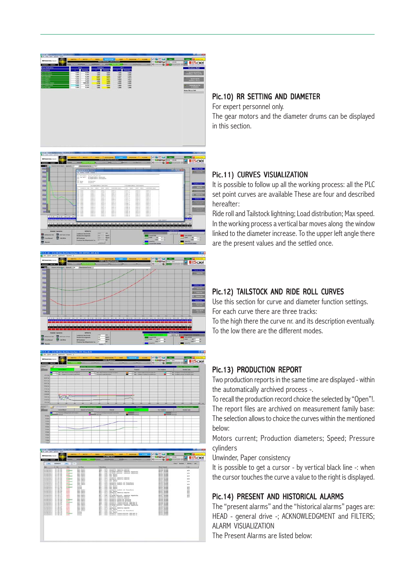





| <b>Ellis / Business / Alleges / Ad-</b><br>$\sim$<br><b>85-040011</b><br>1.4081<br><b>Arden</b> |                       |                                 |                                             |                                                                                              |                                        |                  |  |
|-------------------------------------------------------------------------------------------------|-----------------------|---------------------------------|---------------------------------------------|----------------------------------------------------------------------------------------------|----------------------------------------|------------------|--|
|                                                                                                 | w                     | <b>Note</b>                     | <b>Lie / June</b>                           | <b>Department</b>                                                                            | <b>Russi Grenze</b>                    | <b>Take</b>      |  |
| <b>ELNIUVID</b>                                                                                 | 11.17.15              | <b>ALW</b>                      | <b>Wood Paradia</b>                         | MOR - ISTL: Anomalia menoria sensors                                                         | <b>MUSTER ALANK</b>                    |                  |  |
| <b>RELEVATIVES A</b>                                                                            | $13 - 47 - 38$        | <b>MITCHERLE</b>                | <b>Most Viewha</b>                          | sent - 1071; Accoualis memoria assocom                                                       | <b>MIGGST ALAMK</b>                    | AOK              |  |
| 315/84/9913<br><b>BIA/IN/2013</b>                                                               | 12-17-16<br>12107129  | <b>ALIPO</b><br>Michael E.      | <b>Mon. Vinalia</b><br><b>Most Viential</b> | mil - com: Allama valuott, massima auparata<br>MOT - CORI: Allacom valuett, hassing supersta | MINNET ALAMM<br><b>MODEL ALANE</b>     | AOK              |  |
| <b>RESIDE COST 3</b>                                                                            | 12197129              | ALC:U                           | <b>Mod. Thradier</b>                        | MOS - COSA - Mos Tractic                                                                     | MODEL ALAMA                            |                  |  |
| 303/04/2913                                                                                     | 12-27-39              | <b>MIGHAELS</b>                 | Mon. Steaful                                | MOS - CESA - Mon Hawlin                                                                      | <b>MIDDIG BLANK</b>                    | ACH <sub>1</sub> |  |
| <b>NOVINFORES</b>                                                                               | 49-47-36              | ALC:U                           | <b>Woo</b> Visate                           | MOS - 1071: Anomalia memoria septon                                                          | MIGHT ALAMA                            |                  |  |
| <b>Britzma</b> Pank k                                                                           | 12:47.56              | Minimids L.D.                   | <b>Mon. Vasto</b>                           | MOS - COVI - docenatio memoria asporon                                                       | MONTH ALAME                            | Ariz             |  |
| 20320422013                                                                                     | 12127-00              | <b>ALCOHOL</b>                  | <b>Mon. Thradis</b>                         | MOS - CSSI Mon Thatle                                                                        | MODES ALAME                            |                  |  |
| 03/04/2013                                                                                      | 11:47-39              | <b>MORALE</b>                   | <b>Most Stealty</b>                         | M03 - (303) Mon Vaalo                                                                        | MODEST ALAMA                           | AGH              |  |
| 03/04/3033                                                                                      | $13.41 - 36$          | <b>AG PO</b>                    | Mos. Veaher                                 | - (35) - Anonalia modelo di Franzione<br>MOS.                                                | MIGGS ALANK                            |                  |  |
| <b>SILVIA/9963</b><br>203/04/2913                                                               | 49.97.99<br>12:47:35  | <b>MORAGE LE</b><br><b>ALCO</b> | <b>Mid-Institute</b><br><b>Batween</b>      | - 1991; Assmalta modulo di Franatura.<br>sen o<br>$-$ (201) How That's<br>sen -              | Middle Cal Area<br><b>MORRIS ALAME</b> | Ariz             |  |
| <b>BENDAMES</b>                                                                                 | 12:57.35              | <b>MORALE</b>                   | <b>Buckless</b>                             | MED - Chil : Min Hawlin                                                                      | MONTO BLAZE                            | ACM:             |  |
| 0.576473833                                                                                     | 11:34:19              | <b>ALVE</b>                     | lister                                      | MOI - Chita Mon Gashe.                                                                       | MIGHT ALAMK                            | $h^{(2)}$        |  |
| <b>ROOMAGNEE</b>                                                                                | 11124-04              | <b>AAPO</b>                     | <b>Book Steaths</b>                         | MOS - COST: Animalia modelo di franatura                                                     | Middle ALAME                           | <b>ALL</b>       |  |
| 303/04/2013                                                                                     | 11:00.04              | as mo-                          | <b>Mid-Teacu</b>                            | 9855 - 1223 - Non twatts                                                                     | <b>MOON'S ALAMN</b>                    | ACH              |  |
| <b>REAZER / 2011</b>                                                                            | 11.129.91             | 41.911                          | <b>Non-That's</b>                           | MOS - 1971; Anomalia memoria penson                                                          | <b>MODES ALAMS</b>                     | A/3              |  |
| <b>SOLORATORES</b>                                                                              | 11:32:12              | 41.911                          | <b>Most Viewhal</b>                         | ante - 2231 - Mon Stealte                                                                    | <b>MILOSO "ALAMA</b>                   | Act of           |  |
| Scholarship                                                                                     | 66-92-47              | 63,950                          | <b>Mon. Veaho</b>                           | MOT - chair Allache raincit. massing soparata                                                | MIGHT ALAMA                            | ACH <sub>1</sub> |  |
| <b>BIX/IN/2013</b>                                                                              | 11112-01              | ALMI                            | <b>Most Steaths</b>                         | MOR - 1971; Asconalia memoria augusta                                                        | Minimal Adam                           | Acres            |  |
| 8320472013<br>303/04/2813                                                                       | \$1132-53<br>11-32-53 | AL PO<br><b>MONEY</b>           | More Steatist<br>Mon. Steaton               | MOS - 1971; Anomalia memoria emprosa<br>MOS - (03); Anomalia curbe di potenza                | MOUNT ALANE<br><b>MIDDON' ALAMA</b>    |                  |  |
| 81/04/2013                                                                                      | $11.32 - 16$          | AL PUT                          | <b>Mon. Unafic</b>                          | MOS - (OLI) Anomalia parts di potenza                                                        | MIGGS ALAME                            |                  |  |
| <b>Britished Parents</b>                                                                        | <b>EXISTEN</b>        | <b>MONEY</b>                    | <b>Mid-Washe</b>                            | said - 1981; Anomalia computerations that four A.                                            | <b>MIGHT ALAME</b>                     |                  |  |
| 20320422013                                                                                     | 11/32/23              | aim:                            | <b>Mod. Thradis</b>                         | MOF - CERI : Anomalia compaignations CRN Bus A.                                              | Middle BLANK                           |                  |  |
| 20320422913                                                                                     | 33132137              | 4,5,913                         | Mon. Treation                               | MOT - 1041; Allama valont?, massima empetata                                                 | <b>NOON! ALANK</b>                     |                  |  |
| 03/04/3013                                                                                      | $11 - 32 - 13$        | 41.944                          | <b>Mos. Veahe</b>                           | MOS < CESS + Mon Heaths                                                                      | <b>MINOR ALAMA</b>                     |                  |  |
| 20320429963                                                                                     | <b>11:00:00</b>       | 81.911                          | <b>Mod.</b> Interfield                      | mid - 1071; According memoria aspecto                                                        | <b>MIGGS BLANK</b>                     |                  |  |
| <b>Milky</b> Make Corporate                                                                     | 11/28/54              | <b>ALCOHOL</b>                  | <b>Mid-Teache</b>                           | senio - chico Mos Heatric                                                                    | MINNER ALAME                           |                  |  |
| 31375472533                                                                                     | 11/28/56              | <b>ALIMA</b>                    | <b>Mos. Insate</b>                          | MOI - (22) : Anomalia modulo di fransitura                                                   | <b>MOUNT REARN</b>                     |                  |  |
| <b>REVISIONS</b><br>303/04/3913                                                                 | 11/24/19<br>11:34:19  | 41.911<br><b>MONEYALLE</b>      | <b>Helve</b><br>lie Los                     | MOX - C351 - Non Vanation<br>MOI - (20) : Ancrealia composituations (30) Nos A.              | MINNEY ALANK<br>Middle at Alan         |                  |  |
| <b>MA/WA/2013</b>                                                                               | 11:04:04              | <b>ALMO</b>                     | <b>Barkrow</b>                              | MOL - 1991; Animalia commitmentine the Sue A.                                                | <b>MINIST ALANK</b>                    |                  |  |
|                                                                                                 |                       |                                 |                                             |                                                                                              |                                        |                  |  |

#### Pic.10) RR SETTING AND DIAMETER

For expert personnel only. The gear motors and the diameter drums can be displayed in this section.

#### Pic.11) CURVES VISUALIZATION

It is possible to follow up all the working process: all the PLC set point curves are available These are four and described hereafter:

Ride roll and Tailstock lightning; Load distribution; Max speed. In the working process a vertical bar moves along the window linked to the diameter increase. To the upper left angle there are the present values and the settled once.

#### Pic.12) TAILSTOCK AND RIDE ROLL CURVES

Use this section for curve and diameter function settings. For each curve there are three tracks:

To the high there the curve nr. and its description eventually. To the low there are the different modes.

#### Pic.13) PRODUCTION REPORT

Two production reports in the same time are displayed - within the automatically archived process -.

To recall the production record choice the selected by "Open"!. The report files are archived on measurement family base: The selection allows to choice the curves within the mentioned below:

Motors current; Production diameters; Speed; Pressure cylinders

Unwinder, Paper consistency

It is possible to get a cursor - by vertical black line -: when the cursor touches the curve a value to the right is displayed.

#### Pic.14) PRESENT AND HISTORICAL ALARMS

The "present alarms" and the "historical alarms" pages are: HEAD - general drive -; ACKNOWLEDGMENT and FILTERS; ALARM VISUALIZATION

The Present Alarms are listed below: